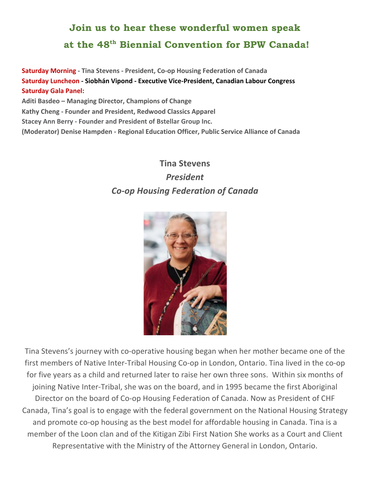## **Join us to hear these wonderful women speak at the 48th Biennial Convention for BPW Canada!**

**Saturday Morning - Tina Stevens - President, Co-op Housing Federation of Canada Saturday Luncheon - Siobhán Vipond - Executive Vice-President, Canadian Labour Congress Saturday Gala Panel:** Aditi Basdeo – Managing Director, Champions of Change

**Kathy Cheng - Founder and President, Redwood Classics Apparel** 

**Stacey Ann Berry - Founder and President of Bstellar Group Inc.** 

**(Moderator) Denise Hampden - Regional Education Officer, Public Service Alliance of Canada**

### **Tina Stevens** *President*

# *Co-op Housing Federation of Canada*



Tina Stevens's journey with co-operative housing began when her mother became one of the first members of Native Inter-Tribal Housing Co-op in London, Ontario. Tina lived in the co-op for five years as a child and returned later to raise her own three sons. Within six months of joining Native Inter-Tribal, she was on the board, and in 1995 became the first Aboriginal Director on the board of Co-op Housing Federation of Canada. Now as President of CHF Canada, Tina's goal is to engage with the federal government on the National Housing Strategy and promote co-op housing as the best model for affordable housing in Canada. Tina is a member of the Loon clan and of the Kitigan Zibi First Nation She works as a Court and Client Representative with the Ministry of the Attorney General in London, Ontario.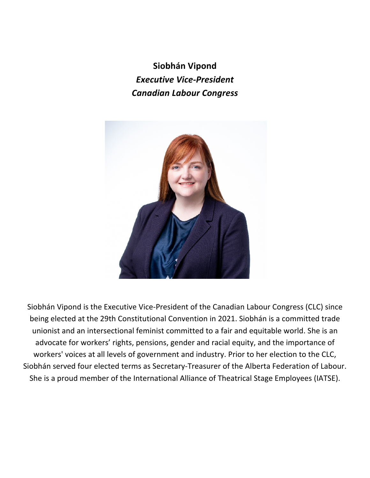**Siobhán Vipond** *Executive Vice-President Canadian Labour Congress*



Siobhán Vipond is the Executive Vice-President of the Canadian Labour Congress (CLC) since being elected at the 29th Constitutional Convention in 2021. Siobhán is a committed trade unionist and an intersectional feminist committed to a fair and equitable world. She is an advocate for workers' rights, pensions, gender and racial equity, and the importance of workers' voices at all levels of government and industry. Prior to her election to the CLC, Siobhán served four elected terms as Secretary-Treasurer of the Alberta Federation of Labour. She is a proud member of the International Alliance of Theatrical Stage Employees (IATSE).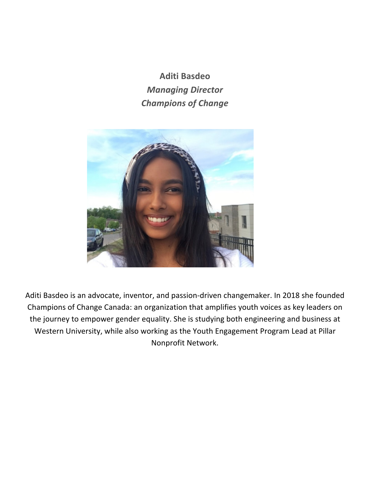**Aditi Basdeo** *Managing Director Champions of Change*



Aditi Basdeo is an advocate, inventor, and passion-driven changemaker. In 2018 she founded Champions of Change Canada: an organization that amplifies youth voices as key leaders on the journey to empower gender equality. She is studying both engineering and business at Western University, while also working as the Youth Engagement Program Lead at Pillar Nonprofit Network.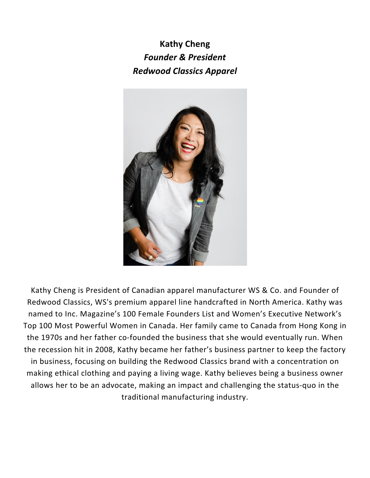**Kathy Cheng** *Founder & President Redwood Classics Apparel*



Kathy Cheng is President of Canadian apparel manufacturer WS & Co. and Founder of Redwood Classics, WS's premium apparel line handcrafted in North America. Kathy was named to Inc. Magazine's 100 Female Founders List and Women's Executive Network's Top 100 Most Powerful Women in Canada. Her family came to Canada from Hong Kong in the 1970s and her father co-founded the business that she would eventually run. When the recession hit in 2008, Kathy became her father's business partner to keep the factory in business, focusing on building the Redwood Classics brand with a concentration on making ethical clothing and paying a living wage. Kathy believes being a business owner allows her to be an advocate, making an impact and challenging the status-quo in the traditional manufacturing industry.